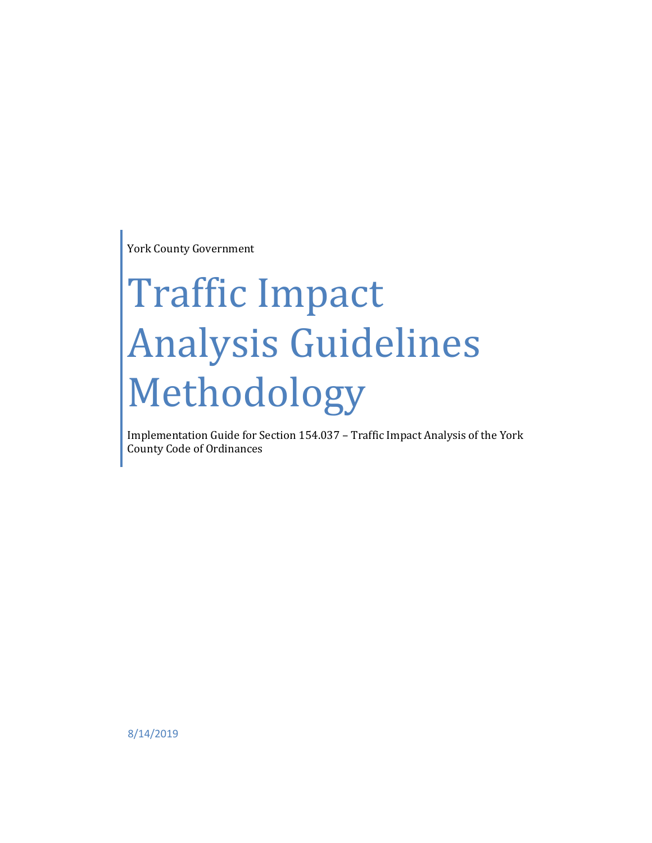York County Government

# Traffic Impact Analysis Guidelines Methodology

Implementation Guide for Section 154.037 – Traffic Impact Analysis of the York County Code of Ordinances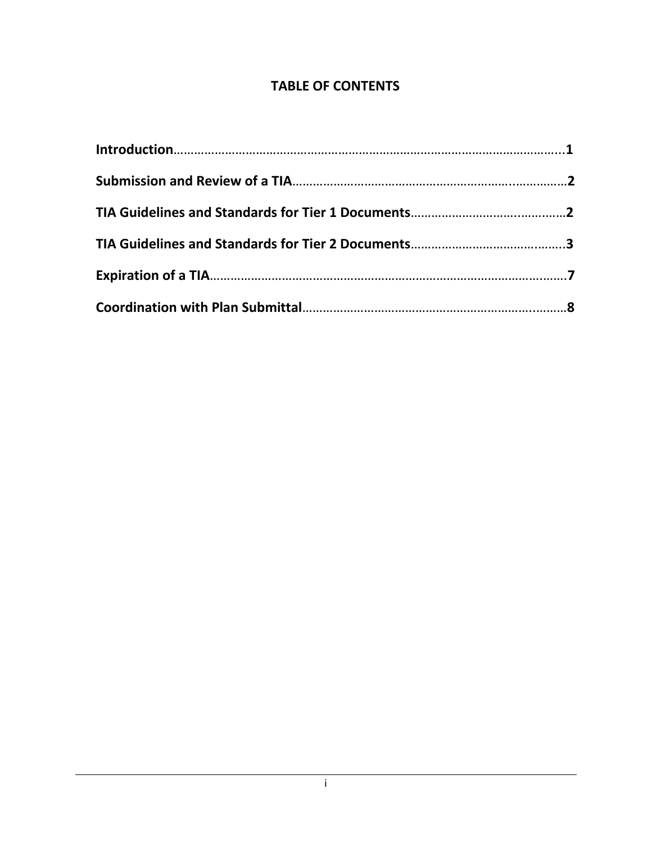# **TABLE OF CONTENTS**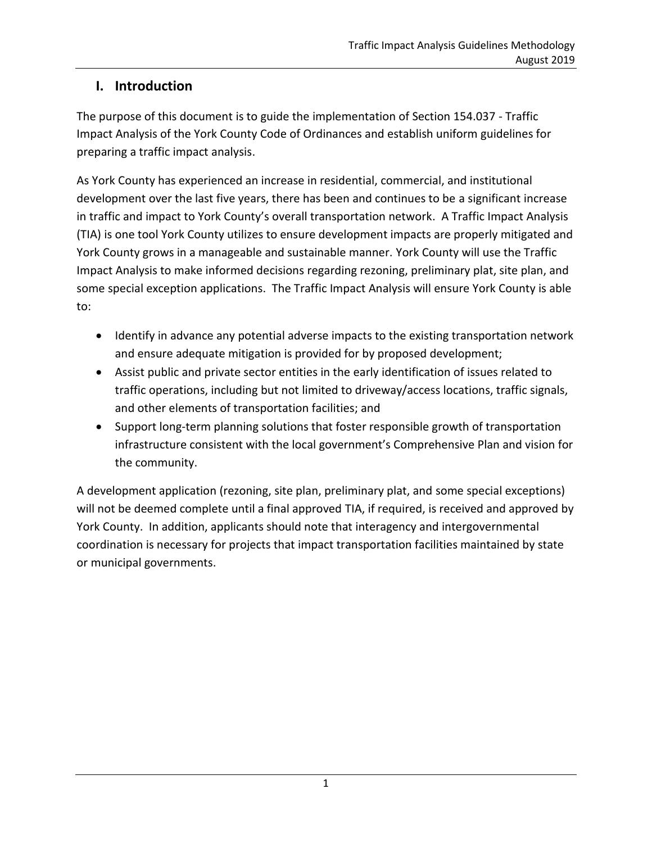#### **I. Introduction**

The purpose of this document is to guide the implementation of Section 154.037 - Traffic Impact Analysis of the York County Code of Ordinances and establish uniform guidelines for preparing a traffic impact analysis.

As York County has experienced an increase in residential, commercial, and institutional development over the last five years, there has been and continues to be a significant increase in traffic and impact to York County's overall transportation network. A Traffic Impact Analysis (TIA) is one tool York County utilizes to ensure development impacts are properly mitigated and York County grows in a manageable and sustainable manner. York County will use the Traffic Impact Analysis to make informed decisions regarding rezoning, preliminary plat, site plan, and some special exception applications. The Traffic Impact Analysis will ensure York County is able to:

- Identify in advance any potential adverse impacts to the existing transportation network and ensure adequate mitigation is provided for by proposed development;
- Assist public and private sector entities in the early identification of issues related to traffic operations, including but not limited to driveway/access locations, traffic signals, and other elements of transportation facilities; and
- Support long-term planning solutions that foster responsible growth of transportation infrastructure consistent with the local government's Comprehensive Plan and vision for the community.

A development application (rezoning, site plan, preliminary plat, and some special exceptions) will not be deemed complete until a final approved TIA, if required, is received and approved by York County. In addition, applicants should note that interagency and intergovernmental coordination is necessary for projects that impact transportation facilities maintained by state or municipal governments.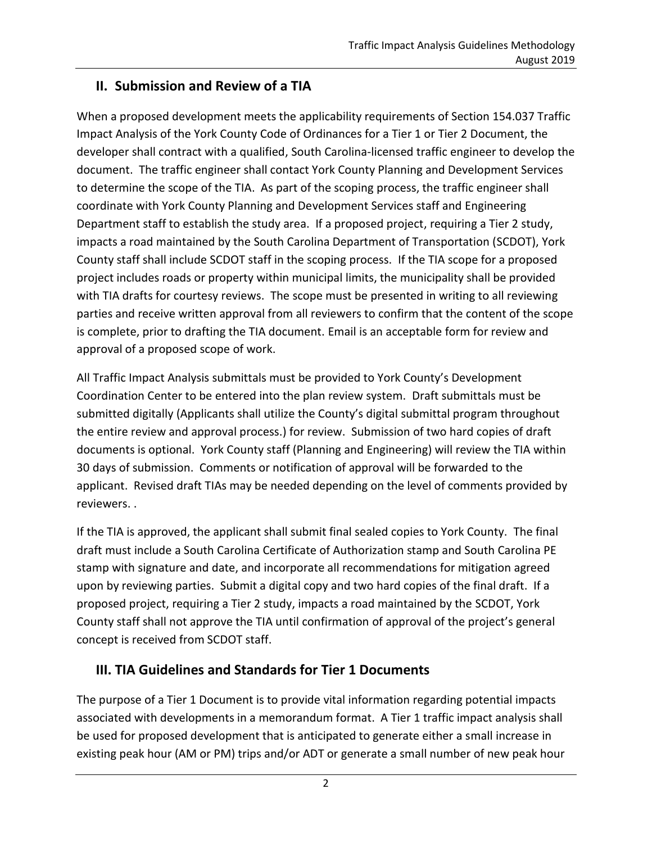#### **II. Submission and Review of a TIA**

When a proposed development meets the applicability requirements of Section 154.037 Traffic Impact Analysis of the York County Code of Ordinances for a Tier 1 or Tier 2 Document, the developer shall contract with a qualified, South Carolina-licensed traffic engineer to develop the document. The traffic engineer shall contact York County Planning and Development Services to determine the scope of the TIA. As part of the scoping process, the traffic engineer shall coordinate with York County Planning and Development Services staff and Engineering Department staff to establish the study area. If a proposed project, requiring a Tier 2 study, impacts a road maintained by the South Carolina Department of Transportation (SCDOT), York County staff shall include SCDOT staff in the scoping process. If the TIA scope for a proposed project includes roads or property within municipal limits, the municipality shall be provided with TIA drafts for courtesy reviews. The scope must be presented in writing to all reviewing parties and receive written approval from all reviewers to confirm that the content of the scope is complete, prior to drafting the TIA document. Email is an acceptable form for review and approval of a proposed scope of work.

All Traffic Impact Analysis submittals must be provided to York County's Development Coordination Center to be entered into the plan review system. Draft submittals must be submitted digitally (Applicants shall utilize the County's digital submittal program throughout the entire review and approval process.) for review. Submission of two hard copies of draft documents is optional. York County staff (Planning and Engineering) will review the TIA within 30 days of submission. Comments or notification of approval will be forwarded to the applicant. Revised draft TIAs may be needed depending on the level of comments provided by reviewers. .

If the TIA is approved, the applicant shall submit final sealed copies to York County. The final draft must include a South Carolina Certificate of Authorization stamp and South Carolina PE stamp with signature and date, and incorporate all recommendations for mitigation agreed upon by reviewing parties. Submit a digital copy and two hard copies of the final draft. If a proposed project, requiring a Tier 2 study, impacts a road maintained by the SCDOT, York County staff shall not approve the TIA until confirmation of approval of the project's general concept is received from SCDOT staff.

#### **III. TIA Guidelines and Standards for Tier 1 Documents**

The purpose of a Tier 1 Document is to provide vital information regarding potential impacts associated with developments in a memorandum format. A Tier 1 traffic impact analysis shall be used for proposed development that is anticipated to generate either a small increase in existing peak hour (AM or PM) trips and/or ADT or generate a small number of new peak hour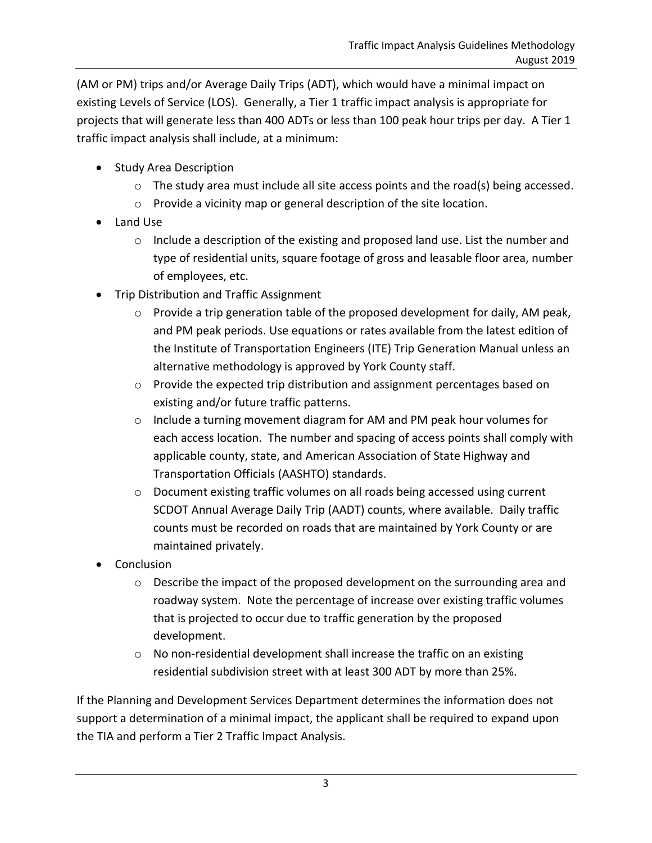(AM or PM) trips and/or Average Daily Trips (ADT), which would have a minimal impact on existing Levels of Service (LOS). Generally, a Tier 1 traffic impact analysis is appropriate for projects that will generate less than 400 ADTs or less than 100 peak hour trips per day. A Tier 1 traffic impact analysis shall include, at a minimum:

- Study Area Description
	- $\circ$  The study area must include all site access points and the road(s) being accessed.
	- o Provide a vicinity map or general description of the site location.
- Land Use
	- o Include a description of the existing and proposed land use. List the number and type of residential units, square footage of gross and leasable floor area, number of employees, etc.
- Trip Distribution and Traffic Assignment
	- o Provide a trip generation table of the proposed development for daily, AM peak, and PM peak periods. Use equations or rates available from the latest edition of the Institute of Transportation Engineers (ITE) Trip Generation Manual unless an alternative methodology is approved by York County staff.
	- $\circ$  Provide the expected trip distribution and assignment percentages based on existing and/or future traffic patterns.
	- $\circ$  Include a turning movement diagram for AM and PM peak hour volumes for each access location. The number and spacing of access points shall comply with applicable county, state, and American Association of State Highway and Transportation Officials (AASHTO) standards.
	- $\circ$  Document existing traffic volumes on all roads being accessed using current SCDOT Annual Average Daily Trip (AADT) counts, where available. Daily traffic counts must be recorded on roads that are maintained by York County or are maintained privately.
- Conclusion
	- $\circ$  Describe the impact of the proposed development on the surrounding area and roadway system. Note the percentage of increase over existing traffic volumes that is projected to occur due to traffic generation by the proposed development.
	- o No non-residential development shall increase the traffic on an existing residential subdivision street with at least 300 ADT by more than 25%.

If the Planning and Development Services Department determines the information does not support a determination of a minimal impact, the applicant shall be required to expand upon the TIA and perform a Tier 2 Traffic Impact Analysis.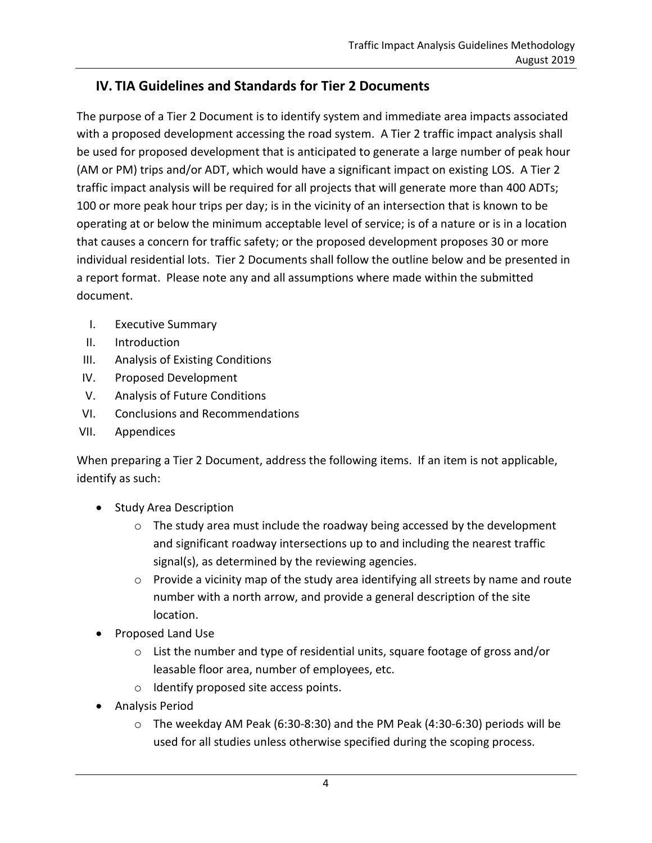## **IV. TIA Guidelines and Standards for Tier 2 Documents**

The purpose of a Tier 2 Document is to identify system and immediate area impacts associated with a proposed development accessing the road system. A Tier 2 traffic impact analysis shall be used for proposed development that is anticipated to generate a large number of peak hour (AM or PM) trips and/or ADT, which would have a significant impact on existing LOS. A Tier 2 traffic impact analysis will be required for all projects that will generate more than 400 ADTs; 100 or more peak hour trips per day; is in the vicinity of an intersection that is known to be operating at or below the minimum acceptable level of service; is of a nature or is in a location that causes a concern for traffic safety; or the proposed development proposes 30 or more individual residential lots. Tier 2 Documents shall follow the outline below and be presented in a report format. Please note any and all assumptions where made within the submitted document.

- I. Executive Summary
- II. Introduction
- III. Analysis of Existing Conditions
- IV. Proposed Development
- V. Analysis of Future Conditions
- VI. Conclusions and Recommendations
- VII. Appendices

When preparing a Tier 2 Document, address the following items. If an item is not applicable, identify as such:

- Study Area Description
	- $\circ$  The study area must include the roadway being accessed by the development and significant roadway intersections up to and including the nearest traffic signal(s), as determined by the reviewing agencies.
	- o Provide a vicinity map of the study area identifying all streets by name and route number with a north arrow, and provide a general description of the site location.
- Proposed Land Use
	- o List the number and type of residential units, square footage of gross and/or leasable floor area, number of employees, etc.
	- o Identify proposed site access points.
- **•** Analysis Period
	- o The weekday AM Peak (6:30-8:30) and the PM Peak (4:30-6:30) periods will be used for all studies unless otherwise specified during the scoping process.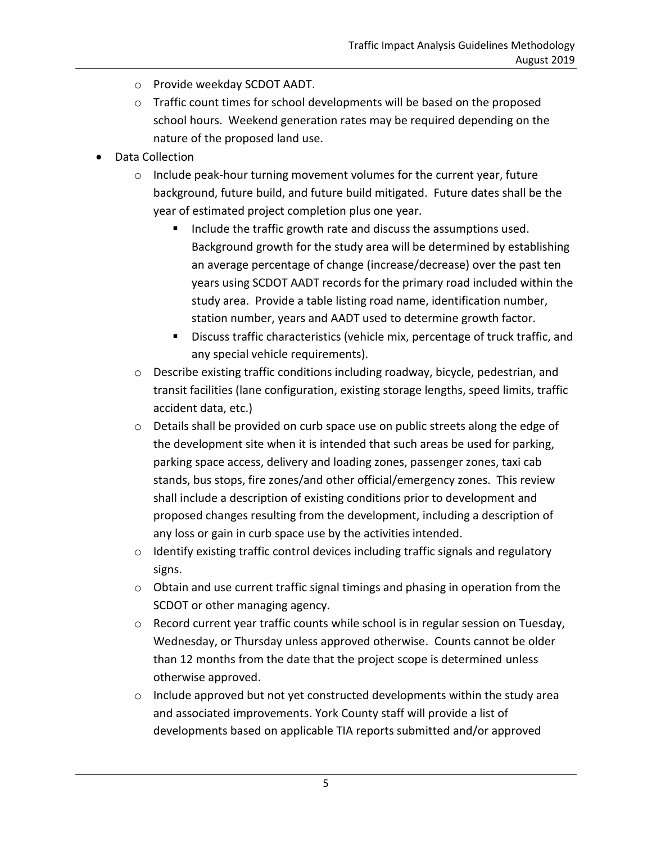- o Provide weekday SCDOT AADT.
- $\circ$  Traffic count times for school developments will be based on the proposed school hours. Weekend generation rates may be required depending on the nature of the proposed land use.
- Data Collection
	- o Include peak-hour turning movement volumes for the current year, future background, future build, and future build mitigated. Future dates shall be the year of estimated project completion plus one year.
		- Include the traffic growth rate and discuss the assumptions used. Background growth for the study area will be determined by establishing an average percentage of change (increase/decrease) over the past ten years using SCDOT AADT records for the primary road included within the study area. Provide a table listing road name, identification number, station number, years and AADT used to determine growth factor.
		- **Discuss traffic characteristics (vehicle mix, percentage of truck traffic, and** any special vehicle requirements).
	- $\circ$  Describe existing traffic conditions including roadway, bicycle, pedestrian, and transit facilities (lane configuration, existing storage lengths, speed limits, traffic accident data, etc.)
	- o Details shall be provided on curb space use on public streets along the edge of the development site when it is intended that such areas be used for parking, parking space access, delivery and loading zones, passenger zones, taxi cab stands, bus stops, fire zones/and other official/emergency zones. This review shall include a description of existing conditions prior to development and proposed changes resulting from the development, including a description of any loss or gain in curb space use by the activities intended.
	- o Identify existing traffic control devices including traffic signals and regulatory signs.
	- $\circ$  Obtain and use current traffic signal timings and phasing in operation from the SCDOT or other managing agency.
	- $\circ$  Record current year traffic counts while school is in regular session on Tuesday, Wednesday, or Thursday unless approved otherwise. Counts cannot be older than 12 months from the date that the project scope is determined unless otherwise approved.
	- $\circ$  Include approved but not yet constructed developments within the study area and associated improvements. York County staff will provide a list of developments based on applicable TIA reports submitted and/or approved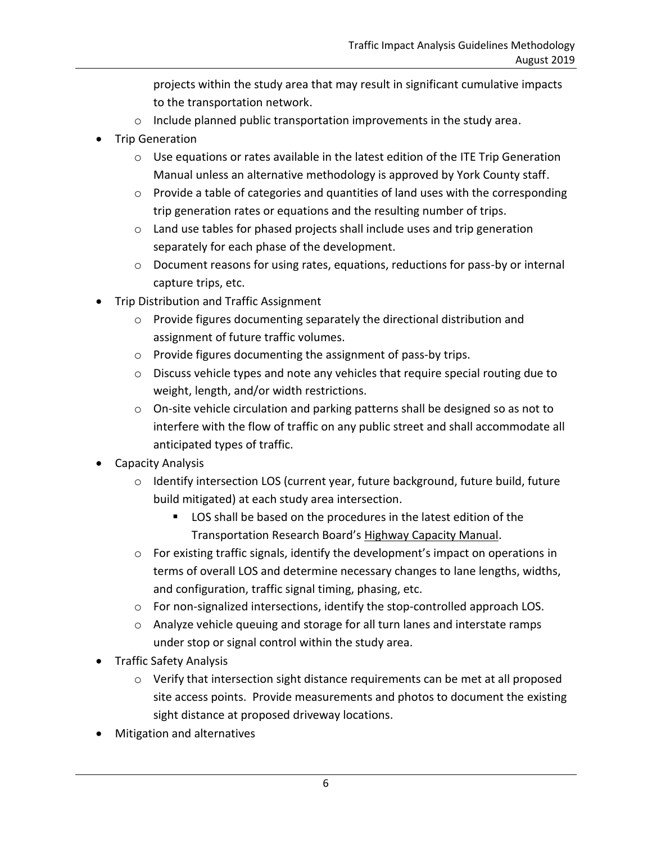projects within the study area that may result in significant cumulative impacts to the transportation network.

- o Include planned public transportation improvements in the study area.
- Trip Generation
	- o Use equations or rates available in the latest edition of the ITE Trip Generation Manual unless an alternative methodology is approved by York County staff.
	- o Provide a table of categories and quantities of land uses with the corresponding trip generation rates or equations and the resulting number of trips.
	- $\circ$  Land use tables for phased projects shall include uses and trip generation separately for each phase of the development.
	- o Document reasons for using rates, equations, reductions for pass-by or internal capture trips, etc.
- Trip Distribution and Traffic Assignment
	- o Provide figures documenting separately the directional distribution and assignment of future traffic volumes.
	- o Provide figures documenting the assignment of pass-by trips.
	- o Discuss vehicle types and note any vehicles that require special routing due to weight, length, and/or width restrictions.
	- o On-site vehicle circulation and parking patterns shall be designed so as not to interfere with the flow of traffic on any public street and shall accommodate all anticipated types of traffic.
- Capacity Analysis
	- $\circ$  Identify intersection LOS (current year, future background, future build, future build mitigated) at each study area intersection.
		- LOS shall be based on the procedures in the latest edition of the Transportation Research Board's Highway Capacity Manual.
	- $\circ$  For existing traffic signals, identify the development's impact on operations in terms of overall LOS and determine necessary changes to lane lengths, widths, and configuration, traffic signal timing, phasing, etc.
	- $\circ$  For non-signalized intersections, identify the stop-controlled approach LOS.
	- o Analyze vehicle queuing and storage for all turn lanes and interstate ramps under stop or signal control within the study area.
- **•** Traffic Safety Analysis
	- o Verify that intersection sight distance requirements can be met at all proposed site access points. Provide measurements and photos to document the existing sight distance at proposed driveway locations.
- Mitigation and alternatives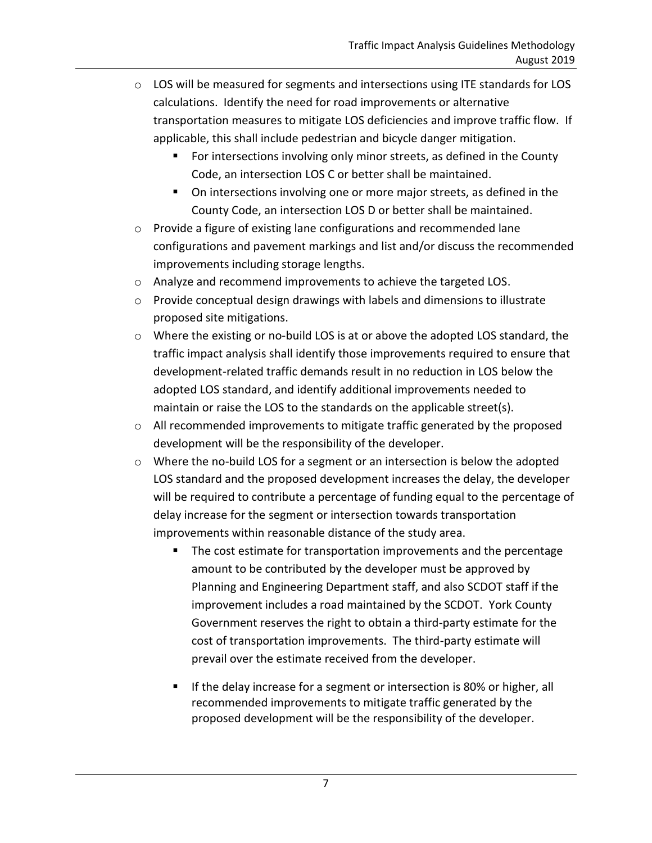- $\circ$  LOS will be measured for segments and intersections using ITE standards for LOS calculations. Identify the need for road improvements or alternative transportation measures to mitigate LOS deficiencies and improve traffic flow. If applicable, this shall include pedestrian and bicycle danger mitigation.
	- For intersections involving only minor streets, as defined in the County Code, an intersection LOS C or better shall be maintained.
	- On intersections involving one or more major streets, as defined in the County Code, an intersection LOS D or better shall be maintained.
- o Provide a figure of existing lane configurations and recommended lane configurations and pavement markings and list and/or discuss the recommended improvements including storage lengths.
- o Analyze and recommend improvements to achieve the targeted LOS.
- $\circ$  Provide conceptual design drawings with labels and dimensions to illustrate proposed site mitigations.
- $\circ$  Where the existing or no-build LOS is at or above the adopted LOS standard, the traffic impact analysis shall identify those improvements required to ensure that development-related traffic demands result in no reduction in LOS below the adopted LOS standard, and identify additional improvements needed to maintain or raise the LOS to the standards on the applicable street(s).
- o All recommended improvements to mitigate traffic generated by the proposed development will be the responsibility of the developer.
- o Where the no-build LOS for a segment or an intersection is below the adopted LOS standard and the proposed development increases the delay, the developer will be required to contribute a percentage of funding equal to the percentage of delay increase for the segment or intersection towards transportation improvements within reasonable distance of the study area.
	- The cost estimate for transportation improvements and the percentage amount to be contributed by the developer must be approved by Planning and Engineering Department staff, and also SCDOT staff if the improvement includes a road maintained by the SCDOT. York County Government reserves the right to obtain a third-party estimate for the cost of transportation improvements. The third-party estimate will prevail over the estimate received from the developer.
	- If the delay increase for a segment or intersection is 80% or higher, all recommended improvements to mitigate traffic generated by the proposed development will be the responsibility of the developer.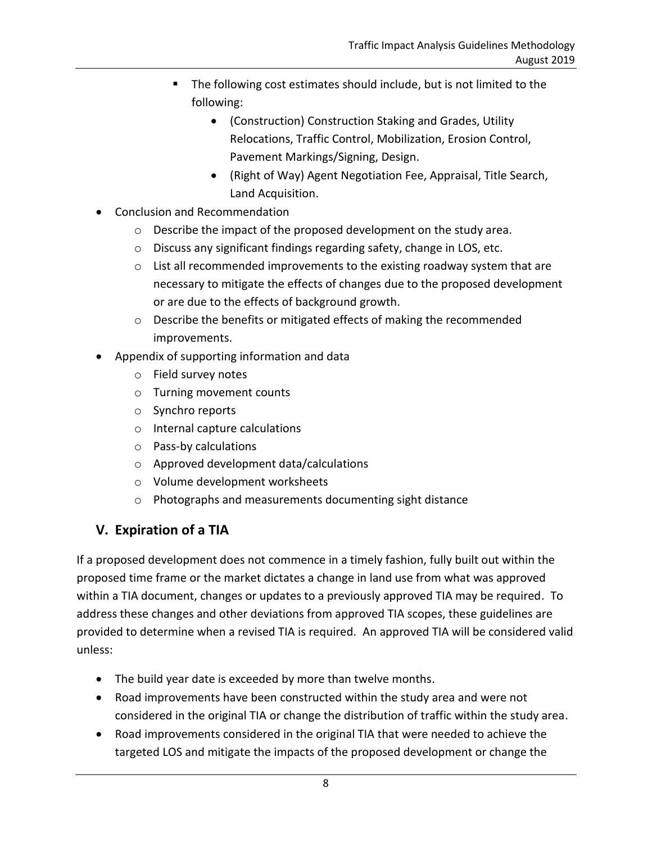- The following cost estimates should include, but is not limited to the following:
	- (Construction) Construction Staking and Grades, Utility Relocations, Traffic Control, Mobilization, Erosion Control, Pavement Markings/Signing, Design.
	- (Right of Way) Agent Negotiation Fee, Appraisal, Title Search, Land Acquisition.
- Conclusion and Recommendation
	- o Describe the impact of the proposed development on the study area.
	- o Discuss any significant findings regarding safety, change in LOS, etc.
	- $\circ$  List all recommended improvements to the existing roadway system that are necessary to mitigate the effects of changes due to the proposed development or are due to the effects of background growth.
	- o Describe the benefits or mitigated effects of making the recommended improvements.
- Appendix of supporting information and data
	- o Field survey notes
	- o Turning movement counts
	- o Synchro reports
	- o Internal capture calculations
	- o Pass-by calculations
	- o Approved development data/calculations
	- o Volume development worksheets
	- o Photographs and measurements documenting sight distance

# **V. Expiration of a TIA**

If a proposed development does not commence in a timely fashion, fully built out within the proposed time frame or the market dictates a change in land use from what was approved within a TIA document, changes or updates to a previously approved TIA may be required. To address these changes and other deviations from approved TIA scopes, these guidelines are provided to determine when a revised TIA is required. An approved TIA will be considered valid unless:

- The build year date is exceeded by more than twelve months.
- Road improvements have been constructed within the study area and were not considered in the original TIA or change the distribution of traffic within the study area.
- Road improvements considered in the original TIA that were needed to achieve the targeted LOS and mitigate the impacts of the proposed development or change the